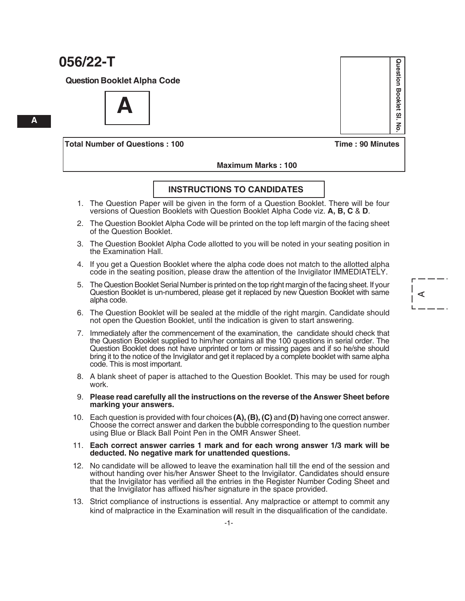**Question Booklet Alpha Code**

**A**

**Total Number of Questions : 100 Time : 90 Minutes**

Question Booklet SI **Question Booklet Sl. No.**  $\overline{5}$ 

A

 **Maximum Marks : 100**

#### **INSTRUCTIONS TO CANDIDATES**

- 1. The Question Paper will be given in the form of a Question Booklet. There will be four versions of Question Booklets with Question Booklet Alpha Code viz. **A, B, C** & **D**.
- 2. The Question Booklet Alpha Code will be printed on the top left margin of the facing sheet of the Question Booklet.
- 3. The Question Booklet Alpha Code allotted to you will be noted in your seating position in the Examination Hall.
- 4. If you get a Question Booklet where the alpha code does not match to the allotted alpha code in the seating position, please draw the attention of the Invigilator IMMEDIATELY.
- 5. The Question Booklet Serial Number is printed on the top right margin of the facing sheet. If your Question Booklet is un-numbered, please get it replaced by new Question Booklet with same alpha code.
- 6. The Question Booklet will be sealed at the middle of the right margin. Candidate should not open the Question Booklet, until the indication is given to start answering.
- 7. Immediately after the commencement of the examination, the candidate should check that the Question Booklet supplied to him/her contains all the 100 questions in serial order. The Question Booklet does not have unprinted or torn or missing pages and if so he/she should bring it to the notice of the Invigilator and get it replaced by a complete booklet with same alpha code. This is most important.
- 8. A blank sheet of paper is attached to the Question Booklet. This may be used for rough work.
- 9. **Please read carefully all the instructions on the reverse of the Answer Sheet before marking your answers.**
- 10. Each question is provided with four choices **(A), (B), (C)** and **(D)** having one correct answer. Choose the correct answer and darken the bubble corresponding to the question number using Blue or Black Ball Point Pen in the OMR Answer Sheet.

#### 11. **Each correct answer carries 1 mark and for each wrong answer 1/3 mark will be deducted. No negative mark for unattended questions.**

- 12. No candidate will be allowed to leave the examination hall till the end of the session and without handing over his/her Answer Sheet to the Invigilator. Candidates should ensure that the Invigilator has verified all the entries in the Register Number Coding Sheet and that the Invigilator has affixed his/her signature in the space provided.
- 13. Strict compliance of instructions is essential. Any malpractice or attempt to commit any kind of malpractice in the Examination will result in the disqualification of the candidate.

**A**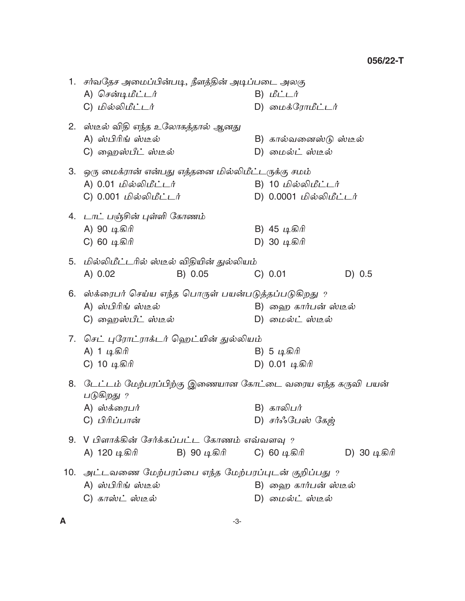|    | 1.   சர்வதேச அமைப்பின்படி, நீளத்தின் அடிப்படை அலகு                      |              |                         |        |              |
|----|-------------------------------------------------------------------------|--------------|-------------------------|--------|--------------|
|    | A) சென்டிமீட்டர்                                                        |              | B) மீட்டர்              |        |              |
|    | C) மில்லிமீட்டர்                                                        |              | D) மைக்ரோமீட்டர்        |        |              |
|    | 2.   ஸ்டீல் விதி எந்த உலோகத்தால் ஆனது                                   |              |                         |        |              |
|    | A) ஸ்பிரிங் ஸ்டீல்                                                      |              | B) கால்வனைஸ்டு ஸ்டீல்   |        |              |
|    | C) ஹைஸ்பீட் ஸ்டீல்                                                      |              | D) மைல்ட் ஸ்டீல்        |        |              |
|    | 3.   ஒரு மைக்ரான் என்பது எத்தனை மில்லிமீட்டருக்கு சமம்                  |              |                         |        |              |
|    | A) 0.01 மில்லிமீட்டர்                                                   |              | B) 10 மில்லிமீட்டர்     |        |              |
|    | C) 0.001 மில்லிமீட்டர்                                                  |              | D) 0.0001 மில்லிமீட்டர் |        |              |
|    | 4. டாட் பஞ்சின் புள்ளி கோணம்                                            |              |                         |        |              |
|    | A) 90 டிகிரி                                                            |              | B) 45 டிகிரி            |        |              |
|    | C) 60 டிகிரி                                                            |              | D) 30 டிகிரி            |        |              |
|    | 5. மில்லிமீட்டரில் ஸ்டீல் விதியின் துல்லியம்                            |              |                         |        |              |
|    | A) 0.02                                                                 | B) 0.05      | C) 0.01                 | D) 0.5 |              |
|    | 6. ஸ்க்ரைபர் செய்ய எந்த பொருள் பயன்படுத்தப்படுகிறது ?                   |              |                         |        |              |
|    | A) ஸ்பிரிங் ஸ்டீல்                                                      |              | B) ஹை கார்பன் ஸ்டீல்    |        |              |
|    | C) ஹைஸ்பீட் ஸ்டீல்                                                      |              | D) மைல்ட் ஸ்டீல்        |        |              |
|    | 7.  செட் புரோட்ராக்டர் ஹெட்யின் துல்லியம்                               |              |                         |        |              |
|    | A) 1 டிகிரி                                                             |              | B) 5 டிகிரி             |        |              |
|    | C) 10 டிகிரி                                                            |              | D) 0.01 டிகிரி          |        |              |
| 8. | டேட்டம் மேற்பரப்பிற்கு இணையான கோட்டை வரைய எந்த கருவி பயன்<br>படுகிறது ? |              |                         |        |              |
|    | A) ஸ்க்ரைபர்                                                            |              | B) காலிபர்              |        |              |
|    | C) பிரிப்பான்                                                           |              | D) சர்ஃபேஸ் கேஜ்        |        |              |
|    | 9. V பிளாக்கின் சேர்க்கப்பட்ட கோணம் எவ்வளவு ?                           |              |                         |        |              |
|    | A) 120 டிகிரி                                                           | B) 90 டிகிரி | C) 60 டிகிரி            |        | D) 30 டிகிரி |
|    | 10. அட்டவணை மேற்பரப்பை எந்த மேற்பரப்புடன் குறிப்பது ?                   |              |                         |        |              |
|    | A) ஸ்பிரிங் ஸ்டீல்                                                      |              | B) ஹை கார்பன் ஸ்டீல்    |        |              |
|    | C) காஸ்ட் ஸ்டீல்                                                        |              | D) மைல்ட் ஸ்டீல்        |        |              |
|    |                                                                         |              |                         |        |              |

 $\boldsymbol{\mathsf{A}}$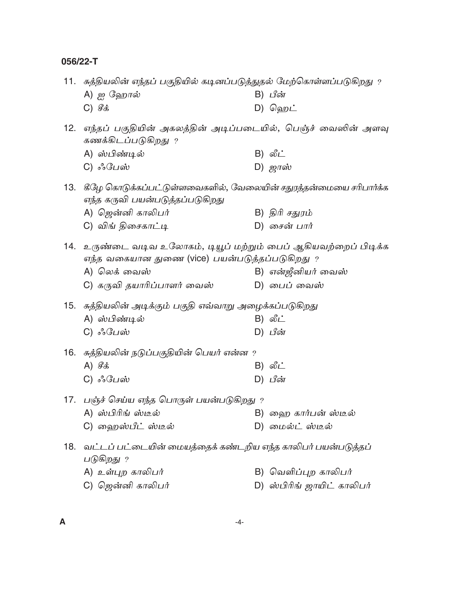$\boldsymbol{\mathsf{A}}$ 

|     | 11.  சுத்தியலின் எந்தப் பகுதியில் கடினப்படுத்துதல் மேற்கொள்ளப்படுகிறது ?                                                  |                            |
|-----|---------------------------------------------------------------------------------------------------------------------------|----------------------------|
|     | A) ஐ ஹோல்                                                                                                                 | B) பீன்                    |
|     | $C)$ $\mathcal{G}$ க்                                                                                                     | D) ஹெட்                    |
| 12. | எந்தப் பகுதியின் அகலத்தின் அடிப்படையில், பெஞ்ச் வைஸின் அளவு<br>கணக்கிடப்படுகிறது ?                                        |                            |
|     | A) ஸ்பிண்டில்                                                                                                             | B) லீட்                    |
|     | C) ஃபேஸ்                                                                                                                  | D) ஜாஸ்                    |
| 13. | கீழே கொடுக்கப்பட்டுள்ளவைகளில், வேலையின் சதுரத்தன்மையை சரிபார்க்க<br>எந்த கருவி பயன்படுத்தப்படுகிறது                       |                            |
|     | A) ஜென்னி காலிபர்                                                                                                         | B) திரி சதுரம்             |
|     | C) விங் திசைகாட்டி                                                                                                        | D) சைன் பார்               |
| 14. | உருண்டை வடிவ உலோகம், டியூப் மற்றும் பைப் ஆகியவற்றைப் பிடிக்க<br>எந்த வகையான துணை (vice) பயன்படுத்தப்படுகிறது <sub>?</sub> |                            |
|     | A) லெக் வைஸ்                                                                                                              | B) என்ஜீனியர் வைஸ்         |
|     | C) கருவி தயாரிப்பாளர் வைஸ்                                                                                                | D) பைப் வைஸ்               |
|     | 15.   சுத்தியலின் அடிக்கும் பகுதி எவ்வாறு அழைக்கப்படுகிறது                                                                |                            |
|     | A) ஸ்பிண்டில்                                                                                                             | B) லீட்                    |
|     | C) ஃபேஸ்                                                                                                                  | D) பீன்                    |
|     | 16. சுத்தியலின் நடுப்பகுதியின் பெயர் என்ன ?                                                                               |                            |
|     | A) $\mathcal{G}$ $\dot{\mathcal{S}}$                                                                                      | B) லீட்                    |
|     | C) ஃபேஸ்                                                                                                                  | D) பீன்                    |
| 17. | பஞ்ச் செய்ய எந்த பொருள் பயன்படுகிறது ?                                                                                    |                            |
|     | A) ஸ்பிரிங் ஸ்டீல்                                                                                                        | B) ஹை கார்பன் ஸ்டீல்       |
|     | C) ஹைஸ்பீட் ஸ்டீல்                                                                                                        | D) மைல்ட் ஸ்டீல்           |
| 18. | வட்டப் பட்டையின் மையத்தைக் கண்டறிய எந்த காலிபர் பயன்படுத்தப்<br>படுகிறது ?                                                |                            |
|     | A) உள்புற காலிபர்                                                                                                         | B) வெளிப்புற காலிபர்       |
|     | C) ஜென்னி காலிபர்                                                                                                         | D) ஸ்பிரிங் ஜாயிட் காலிபர் |
|     |                                                                                                                           |                            |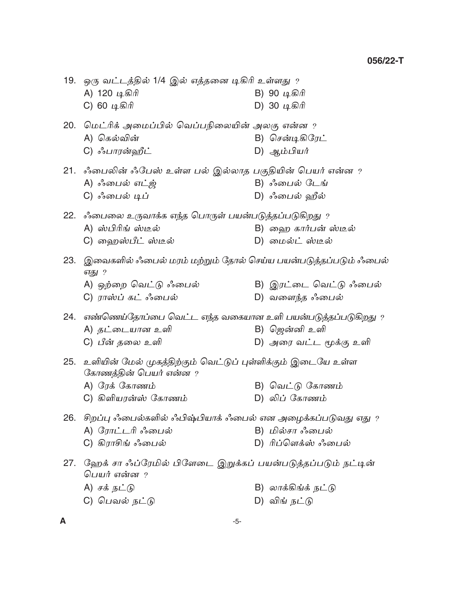|     | 19.   ஒரு வட்டத்தில் 1/4 இல் எத்தனை டிகிரி உள்ளது $\,$ ?<br>A) 120 டிகிரி<br>C) 60 டிகிரி                                     | B) 90 டிகிரி<br>D) 30 டிகிரி              |
|-----|-------------------------------------------------------------------------------------------------------------------------------|-------------------------------------------|
|     | 20.   மெட்ரிக் அமைப்பில் வெப்பநிலையின் அலகு என்ன $\,$ ?<br>A) கெல்வின்<br>C) ஃபாரன்ஹீட்                                       | B) சென்டிகிரேட்<br>D) ஆம்பியர்            |
|     | 21. ஃபைலின் ஃபேஸ் உள்ள பல் இல்லாத பகுதியின் பெயர் என்ன ?<br>A) ஃபைல் எட்ஜ்<br>C) ஃபைல் டிப்                                   | B) ஃபைல் டேங்<br>D) ஃபைல் ஹீல்            |
|     | 22. ஃபைலை உருவாக்க எந்த பொருள் பயன்படுத்தப்படுகிறது ?<br>A) ஸ்பிரிங் ஸ்டீல்<br>C) ஹைஸ்பீட் ஸ்டீல்                             | B) ஹை கார்பன் ஸ்டீல்<br>D) மைல்ட் ஸ்டீல்  |
|     | 23. இவைகளில் ஃபைல் மரம் மற்றும் தோல் செய்ய பயன்படுத்தப்படும் ஃபைல்<br>எது ?<br>A) ஒற்றை வெட்டு ஃபைல்<br>C) ராஸ்ப் கட் ஃபைல்   | B) இரட்டை வெட்டு ஃபைல்<br>D) வளைந்த ஃபைல் |
| 24. | எண்ணெய்தோப்பை வெட்ட எந்த வகையான உளி பயன்படுத்தப்படுகிறது ?<br>A) தட்டையான உளி<br>C) பீன் தலை உளி                              | B) ஜென்னி உளி<br>D) அரை வட்ட மூக்கு உளி   |
| 25. | உளியின் மேல் முகத்திற்கும் வெட்டுப் புள்ளிக்கும் இடையே உள்ள<br>கோணத்தின் பெயர் என்ன ?<br>A) ரேக் கோணம்<br>C) கிளியரன்ஸ் கோணம் | B) வெட்டு கோணம்<br>D) லிப் கோணம்          |
|     | 26.   சிறப்பு ஃபைல்களில் ஃபிஷ்பியாக் ஃபைல் என அழைக்கப்படுவது எது ?<br>A) ரோட்டரி ஃபைல்<br>C) கிராசிங் ஃபைல்                   | B) மில்சா ஃபைல்<br>D) ரிப்ளெக்ஸ் ஃபைல்    |
|     | 27.   ஹேக் சா ஃப்ரேமில் பிளேடை இறுக்கப் பயன்படுத்தப்படும் நட்டின்<br>பெயர் என்ன ?                                             |                                           |
|     | A) சக் நட்டு                                                                                                                  | B) லாக்கிங்க் நட்டு                       |
|     | C) பெவல் நட்டு                                                                                                                | D) விங் நட்டு                             |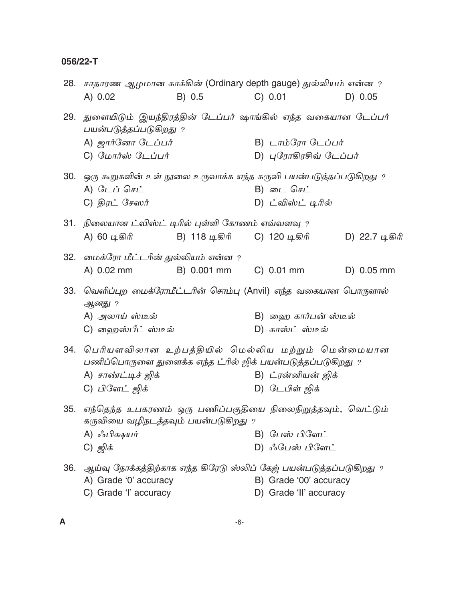$\boldsymbol{\mathsf{A}}$ 

| 28. | சாதாரண ஆழமான காக்கின் (Ordinary depth gauge) துல்லியம் என்ன $\it r$                                                   |               |                |                                                                                                                                |                |
|-----|-----------------------------------------------------------------------------------------------------------------------|---------------|----------------|--------------------------------------------------------------------------------------------------------------------------------|----------------|
|     | A) 0.02                                                                                                               | B) 0.5        |                | C) 0.01                                                                                                                        | D) 0.05        |
| 29. | துளையிடும் இயந்திரத்தின் டேப்பர் ஷாங்கில் எந்த வகையான டேப்பர்<br>பயன்படுத்தப்படுகிறது ?                               |               |                |                                                                                                                                |                |
|     | A) <i>ஜார்னோ டேப்பர்</i>                                                                                              |               |                | <b>В)</b> $L$ <i>п</i> $\dot{\mathbf{L}}$ $\mathcal{G}$ <i>уп</i> $\mathcal{G}$ <i>L</i> $\dot{\mathbf{L}}$ $\dot{\mathbf{L}}$ |                |
|     | C) மோர்ஸ் டேப்பர்                                                                                                     |               |                | D) புரோகிரசிவ் டேப்பர்                                                                                                         |                |
| 30. | ஒரு கூறுகளின் உள் நூலை உருவாக்க எந்த கருவி பயன்படுத்தப்படுகிறது ?                                                     |               |                |                                                                                                                                |                |
|     | A) டேப் செட்                                                                                                          |               |                | B) டை செட்                                                                                                                     |                |
|     | $C)$ திரட் சேஸர்                                                                                                      |               |                | D) ட்விஸ்ட் டிரில்                                                                                                             |                |
| 31. | நிலையான ட்விஸ்ட் டிரில் புள்ளி கோணம் எவ்வளவு ?                                                                        |               |                |                                                                                                                                |                |
|     | A) 60 டிகிரி                                                                                                          | B) 118 டிகிரி |                | C) 120 டிகிரி                                                                                                                  | D) 22.7 டிகிரி |
| 32. | மைக்ரோ மீட்டரின் துல்லியம் என்ன ?                                                                                     |               |                |                                                                                                                                |                |
|     | A) 0.02 mm                                                                                                            | B) 0.001 mm   |                | C) 0.01 mm                                                                                                                     | D) 0.05 mm     |
| 33. | வெளிப்புற மைக்ரோமீட்டரின் சொம்பு (Anvil) எந்த வகையான பொருளால்<br>ஆனது ?                                               |               |                |                                                                                                                                |                |
|     | A) அலாய் ஸ்டீல்                                                                                                       |               |                | B) ஹை கார்பன் ஸ்டீல்                                                                                                           |                |
|     | C) ஹைஸ்பீட் ஸ்டீல்                                                                                                    |               |                | D) காஸ்ட் ஸ்டீல்                                                                                                               |                |
|     | 34. பெரியளவிலான உற்பத்தியில் மெல்லிய மற்றும் மென்மையான<br>பணிப்பொருளை துளைக்க எந்த ட்ரில் ஜிக் பயன்படுத்தப்படுகிறது ? |               |                |                                                                                                                                |                |
|     | A) சாண்ட்டிச் ஜிக்                                                                                                    |               |                | B) ட்ரன்னியன் ஜிக்                                                                                                             |                |
|     | C) பிளேட் ஜிக்                                                                                                        |               |                | D) டேபிள் ஜிக்                                                                                                                 |                |
|     | 35. எந்தெந்த உபகரணம் ஒரு பணிப்பகுதியை நிலைநிறுத்தவும், வெட்டும்<br>கருவியை வழிநடத்தவும் பயன்படுகிறது                  |               | $\overline{?}$ |                                                                                                                                |                |
|     | A) ஃபிக்ஷயர்                                                                                                          |               |                | B) பேஸ் பிளேட்                                                                                                                 |                |
|     | C) ஜிக்                                                                                                               |               |                | D) ஃபேஸ் பிளேட்                                                                                                                |                |
| 36. | ஆய்வு நோக்கத்திற்காக எந்த கிரேடு ஸ்லிப் கேஜ் பயன்படுத்தப்படுகிறது ?                                                   |               |                |                                                                                                                                |                |
|     | A) Grade '0' accuracy                                                                                                 |               |                | B) Grade '00' accuracy                                                                                                         |                |
|     | C) Grade 'l' accuracy                                                                                                 |               |                | D) Grade 'II' accuracy                                                                                                         |                |
|     |                                                                                                                       |               |                |                                                                                                                                |                |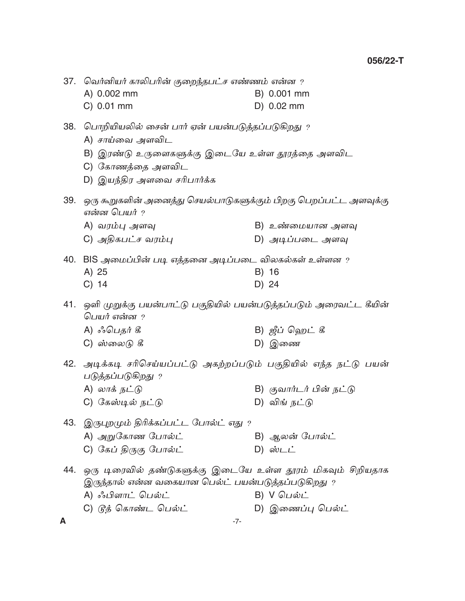|     | 37. வெர்னியர் காலிபரின் குறைந்தபட்ச எண்ணம் என்ன ?                                                                  |                         |
|-----|--------------------------------------------------------------------------------------------------------------------|-------------------------|
|     | A) 0.002 mm                                                                                                        | B) 0.001 mm             |
|     | C) 0.01 mm                                                                                                         | D) 0.02 mm              |
|     | 38.   பொறியியலில் சைன் பார் ஏன் பயன்படுத்தப்படுகிறது  ?<br>A) சாய்வை அளவிட                                         |                         |
|     | B) இரண்டு உருளைகளுக்கு இடையே உள்ள தூரத்தை அளவிட                                                                    |                         |
|     | C) கோணத்தை அளவிட                                                                                                   |                         |
|     | D) இயந்திர அளவை சரிபார்க்க                                                                                         |                         |
|     | 39. ஒரு கூறுகளின் அனைத்து செயல்பாடுகளுக்கும் பிறகு பெறப்பட்ட அளவுக்கு<br>என்ன பெயர் ?                              |                         |
|     | A) வரம்பு அளவு                                                                                                     | B) உண்மையான அளவு        |
|     | C) அதிகபட்ச வரம்பு                                                                                                 | D) அடிப்படை அளவு        |
|     | 40. BIS அமைப்பின் படி எத்தனை அடிப்படை விலகல்கள் உள்ளன ?                                                            |                         |
|     | A) 25                                                                                                              | B) 16                   |
|     | $C)$ 14                                                                                                            | D) 24                   |
|     | 41.   ஒளி முறுக்கு பயன்பாட்டு பகுதியில் பயன்படுத்தப்படும் அரைவட்ட கீயின்<br>பெயர் என்ன ?                           |                         |
|     | A) ஃபெதர் கீ                                                                                                       | B) ஜீப் ஹெட் கீ         |
|     | C) ஸ்லைடு கீ                                                                                                       | D) இணை                  |
|     | 42. அடிக்கடி சரிசெய்யப்பட்டு அகற்றப்படும் பகுதியில் எந்த நட்டு பயன்<br>படுத்தப்படுகிறது ?                          |                         |
|     | A) லாக் நட்டு                                                                                                      | B) குவார்டர் பின் நட்டு |
|     | C) கேஸ்டில் நட்டு                                                                                                  | D) விங் நட்டு           |
|     | 43. இருபுறமும் திரிக்கப்பட்ட போல்ட் எது ?                                                                          |                         |
|     | A) அறுகோண போல்ட்                                                                                                   | B) ஆலன் போல்ட்          |
|     | C) கேப் திருகு போல்ட்                                                                                              | $D)$ ஸ்டட்              |
| 44. | ஒரு டிரைவில் தண்டுகளுக்கு இடையே உள்ள தூரம் மிகவும் சிறியதாக<br>இருந்தால் என்ன வகையான பெல்ட் பயன்படுத்தப்படுகிறது ? |                         |
|     | A) ஃபிளாட் பெல்ட்                                                                                                  | B) V பெல்ட்             |
|     | C) டுத் கொண்ட பெல்ட்                                                                                               | D) இணைப்பு பெல்ட்       |
| A   | $-7-$                                                                                                              |                         |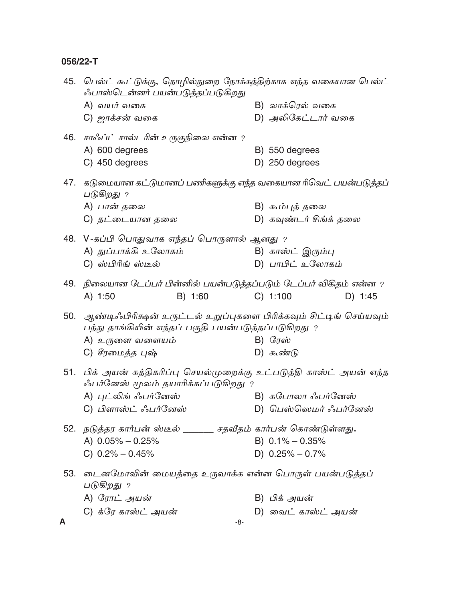| 45. | பெல்ட் கூட்டுக்கு, தொழில்துறை நோக்கத்திற்காக எந்த வகையான பெல்ட்<br>ஃபாஸ்டென்னர் பயன்படுத்தப்படுகிறது                       |                        |
|-----|----------------------------------------------------------------------------------------------------------------------------|------------------------|
|     | A) வயர் வகை                                                                                                                | B) லாக்ரெல் வகை        |
|     | C) <i>ஜாக்சன்</i> வகை                                                                                                      | D) அலிகேட்டார் வகை     |
|     | 46. சாஃப்ட் சால்டரின் உருகுநிலை என்ன ?                                                                                     |                        |
|     | A) 600 degrees                                                                                                             | B) 550 degrees         |
|     | C) 450 degrees                                                                                                             | D) 250 degrees         |
|     | 47.   கடுமையான கட்டுமானப் பணிகளுக்கு எந்த வகையான ரிவெட் பயன்படுத்தப்<br>படுகிறது ?                                         |                        |
|     | A) பான் தலை                                                                                                                | B) கூம்புத் தலை        |
|     | C) தட்டையான தலை                                                                                                            | D) கவுண்டர் சிங்க் தலை |
|     | 48. V-கப்பி பொதுவாக எந்தப் பொருளால் ஆனது ?                                                                                 |                        |
|     | A) துப்பாக்கி உலோகம்                                                                                                       | B) காஸ்ட் இரும்பு      |
|     | C) ஸ்பிரிங் ஸ்டீல்                                                                                                         | D) பாபிட் உலோகம்       |
|     | 49. நிலையான டேப்பர் பின்னில் பயன்படுத்தப்படும் டேப்பர் விகிதம் என்ன ?                                                      |                        |
|     | B) 1:60<br>A) 1:50                                                                                                         | C) 1:100<br>D) 1:45    |
| 50. | ஆண்டிஃபிரிக்ஷன் உருட்டல் உறுப்புகளை பிரிக்கவும் சிட்டிங் செய்யவும்<br>பந்து தாங்கியின் எந்தப் பகுதி பயன்படுத்தப்படுகிறது ? |                        |
|     | A) உருளை வளையம்                                                                                                            | $B)$ $G_J$ ஸ்          |
|     | C) சீரமைத்த புஷ்                                                                                                           | D) கூண்டு              |
|     | 51. பிக் அயன் சுத்திகரிப்பு செயல்முறைக்கு உட்படுத்தி காஸ்ட் அயன் எந்த<br>ஃபர்னேஸ் மூலம் தயாரிக்கப்படுகிறது ?               |                        |
|     | A) புட்லிங் ஃபர்னேஸ்                                                                                                       | B) கபோலா ஃபர்னேஸ்      |
|     | C) பிளாஸ்ட் ஃபர்னேஸ்                                                                                                       | D) பெஸ்ஸெமர் ஃபர்னேஸ்  |
|     | 52. நடுத்தர கார்பன் ஸ்டீல் ______ சதவீதம் கார்பன் கொண்டுள்ளது.                                                             |                        |
|     | A) $0.05\% - 0.25\%$                                                                                                       | B) $0.1\% - 0.35\%$    |
|     | C) $0.2\% - 0.45\%$                                                                                                        | D) $0.25\% - 0.7\%$    |
| 53. | டைனமோவின் மையத்தை உருவாக்க என்ன பொருள் பயன்படுத்தப்<br>படுகிறது ?                                                          |                        |
|     | A) ரோட் அயன்                                                                                                               | B) பிக் அயன்           |
|     | C) க்ரே காஸ்ட் அயன்                                                                                                        | D) வைட் காஸ்ட் அயன்    |
| A   | -8-                                                                                                                        |                        |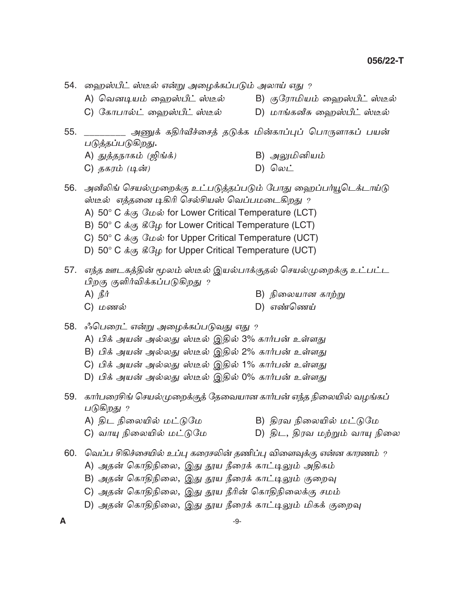54. ஹைஸ்பீட் ஸ்டீல் என்று அழைக்கப்படும் அலாய் எது ? A) வெனடியம் ஹைஸ்பீட் ஸ்டீல் B) குரோமியம் ஹைஸ்பீட் ஸ்டீல் D) மாங்கனீசு ஹைஸ்பீட் ஸ்டீல் C) கோபால்ட் ஹைஸ்பீட் ஸ்டீல் 55. \_\_\_\_\_ அணுக் கதிர்வீச்சைத் தடுக்க மின்காப்புப் பொருளாகப் பயன் படுத்தப்படுகிறது. A) துத்தநாகம் (ஜிங்க்) B) அலுமினியம்  $D)$  *Q*wi C) தகரம் (டின்) 56. அனீலிங் செயல்முறைக்கு உட்படுத்தப்படும் போது ஹைப்பர்யூடெக்டாய்டு ஸ்டீல் எத்தனை டிகிரி செல்சியஸ் வெப்பமடைகிறது ? A)  $50^{\circ}$  C  $\dot{\mathfrak{s}}_{(4)}$  GL  $\dot{\mathfrak{w}}$  for Lower Critical Temperature (LCT) B) 50° C  $\dot{\phi}_{\langle\phi\rangle}$   $\mathcal{G}(\mathcal{L}_{\psi})$  for Lower Critical Temperature (LCT) C) 50° C  $\dot{\sigma}_{AB}$  GL  $\dot{\omega}$  for Upper Critical Temperature (UCT) D) 50° C  $\dot{\phi}_{AB}$   $\mathcal{G}_{CD}$  for Upper Critical Temperature (UCT) 57. எந்த ஊடகத்தின் மூலம் ஸ்டீல் இயல்பாக்குதல் செயல்முறைக்கு உட்பட்ட பிறகு குளிர்விக்கப்படுகிறது ? A)  $\mathbb{B}$ *i* B) நிலையான காற்று D) எண்ணெய் C) மணல் 58. ஃபெரைட் என்று அழைக்கப்படுவது எது ? A) பிக் அயன் அல்லது ஸ்டீல் இதில் 3% கார்பன் உள்ளது B) பிக் அயன் அல்லது ஸ்டீல் இதில் 2% கார்பன் உள்ளது C) பிக் அயன் அல்லது ஸ்டீல் இதில் 1% கார்பன் உள்ளது D) பிக் அயன் அல்லது ஸ்டீல் இதில் 0% கார்பன் உள்ளது 59. கார்பரைசிங் செயல்முறைக்குத் தேவையான கார்பன் எந்த நிலையில் வழங்கப் படுகிறது ? B) திரவ நிலையில் மட்டுமே A) திட நிலையில் மட்டுமே C) வாயு நிலையில் மட்டுமே D) திட, திரவ மற்றும் வாயு நிலை 60. வெப்ப சிகிச்சையில் உப்பு கரைசலின் தணிப்பு விளைவுக்கு என்ன காரணம்  $\gamma$ A) அதன் கொதிநிலை, இது தூய நீரைக் காட்டிலும் அதிகம் B) அதன் கொதிநிலை, இது தூய நீரைக் காட்டிலும் குறைவு C) அதன் கொதிநிலை, இது தூய நீரின் கொதிநிலைக்கு சமம் D) அதன் கொதிநிலை, இது தூய நீரைக் காட்டிலும் மிகக் குறைவு A  $-9-$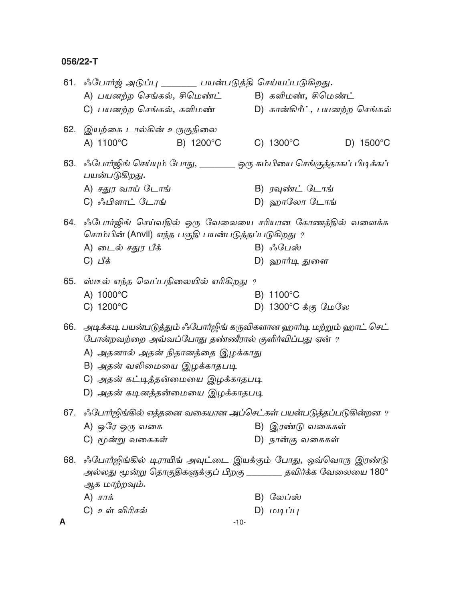|     | 61. ஃபோர்ஜ் அடுப்பு _______ பயன்படுத்தி செய்யப்படுகிறது.                                                                                                                                                                                                               |                                            |
|-----|------------------------------------------------------------------------------------------------------------------------------------------------------------------------------------------------------------------------------------------------------------------------|--------------------------------------------|
|     | A) பயனற்ற செங்கல், சிமெண்ட்                                                                                                                                                                                                                                            | B) களிமண், சிமெண்ட்                        |
|     | C) பயனற்ற செங்கல், களிமண்                                                                                                                                                                                                                                              | D) கான்கிரீட், பயனற்ற செங்கல்              |
|     | 62. இயற்கை டால்கின் உருகுநிலை                                                                                                                                                                                                                                          |                                            |
|     | A) 1100°C<br>B) 1200°C                                                                                                                                                                                                                                                 | C) $1300^{\circ}$ C<br>D) $1500^{\circ}$ C |
|     | 63. ஃபோர்ஜிங் செய்யும் போது, _______ ஒரு கம்பியை செங்குத்தாகப் பிடிக்கப்<br>பயன்படுகிறது.                                                                                                                                                                              |                                            |
|     | A) சதுர வாய் டோங்                                                                                                                                                                                                                                                      | B) ரவுண்ட் டோங்                            |
|     | C) ஃபிளாட் டோங்                                                                                                                                                                                                                                                        | D) ஹாலோ டோங்                               |
|     | 64. ஃபோர்ஜிங் செய்வதில் ஒரு வேலையை சரியான கோணத்தில் வளைக்க<br>சொம்பின் (Anvil) எந்த பகுதி பயன்படுத்தப்படுகிறது ?                                                                                                                                                       |                                            |
|     | A) டைல் சதுர பீக்                                                                                                                                                                                                                                                      | B) ஃபேஸ்                                   |
|     | $C)$ பீக்                                                                                                                                                                                                                                                              | D) ஹார்டி துளை                             |
|     | 65. ஸ்டீல் எந்த வெப்பநிலையில் எரிகிறது ?<br>A) 1000°C                                                                                                                                                                                                                  | B) 1100°C                                  |
|     | C) $1200^{\circ}$ C                                                                                                                                                                                                                                                    | D) 1300°C க்கு மேலே                        |
| 66. | அடிக்கடி பயன்படுத்தும் ஃபோர்ஜிங் கருவிகளான ஹார்டி மற்றும் ஹாட் செட்<br>போன்றவற்றை அவ்வப்போது தண்ணீரால் குளிர்விப்பது ஏன் ?<br>A) அதனால் அதன் நிதானத்தை இழக்காது<br>B) அதன் வலிமையை இழக்காதபடி<br>C) அதன் கட்டித்தன்மையை இழக்காதபடி<br>D) அதன் கடினத்தன்மையை இழக்காதபடி |                                            |
|     | 67. ஃபோர்ஜிங்கில் எத்தனை வகையான அப்செட்கள் பயன்படுத்தப்படுகின்றன ?                                                                                                                                                                                                     |                                            |
|     | A) ஒரே ஒரு வகை                                                                                                                                                                                                                                                         | B) இரண்டு வகைகள்                           |
|     | C) மூன்று வகைகள்                                                                                                                                                                                                                                                       | D) நான்கு வகைகள்                           |
| 68. | ஃபோர்ஜிங்கில் டிராயிங் அவுட்டை இயக்கும் போது, ஒவ்வொரு இரண்டு<br>அல்லது மூன்று தொகுதிகளுக்குப் பிறகு ________ தவிர்க்க வேலையை 180°<br>ஆக மாற்றவும்.                                                                                                                     |                                            |
|     | A) $\vec{\sigma}$                                                                                                                                                                                                                                                      | B) லேப்ஸ்                                  |
|     | C) உள் விரிசல்                                                                                                                                                                                                                                                         | $D)$ மடிப்பு                               |
| A   | $-10-$                                                                                                                                                                                                                                                                 |                                            |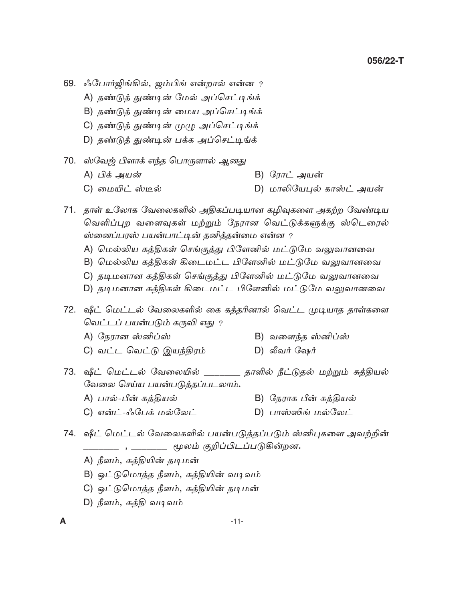- 69. ஃபோர்ஜிங்கில், ஜம்பிங் என்றால் என்ன ?
	- A) தண்டுத் துண்டின் மேல் அப்செட்டிங்க்
	- B) தண்டுத் துண்டின் மைய அப்செட்டிங்க்
	- C) தண்டுத் துண்டின் முழு அப்செட்டிங்க்
	- D) தண்டுத் துண்டின் பக்க அப்செட்டிங்க்
- 70. ஸ்வேஜ் பிளாக் எந்த பொருளால் ஆனது
	- A) பிக் அயன் B) ரோட் அயன்
	- C) மையிட் ஸ்டீல் D) மாலியேபுல் காஸ்ட் அயன்
- 71. தாள் உலோக வேலைகளில் அதிகப்படியான கமிவுகளை அகற்ற வேண்டிய வெளிப்புற வளைவுகள் மற்றும் நேரான வெட்டுக்களுக்கு ஸ்டெரைல் ஸ்னைப்பரஸ் பயன்பாட்டின் தனித்தன்மை என்ன ?
	- A) மெல்லிய கத்திகள் செங்குத்து பிளேனில் மட்டுமே வலுவானவை
	- B) மெல்லிய கத்திகள் கிடைமட்ட பிளேனில் மட்டுமே வலுவானவை
	- C) தடிமனான கத்திகள் செங்குத்து பிளேனில் மட்டுமே வலுவானவை
	- D) தடிமனான கத்திகள் கிடைமட்ட பிளேனில் மட்டுமே வலுவானவை

72. ஷீட் மெட்டல் வேலைகளில் கை கத்தரினால் வெட்ட முடியாத தாள்களை வெட்டப் பயன்படும் கருவி எது ?

- A) நேரான ஸ்னிப்ஸ்
- C) வட்ட வெட்டு இயந்திரம்
- B) வளைந்த ஸ்னிப்ஸ்
- D) லீவர் ஷேர்
- 73. ஷீட் மெட்டல் வேலையில் \_\_\_\_\_\_\_ தாளில் நீட்டுதல் மற்றும் சுத்தியல் வேலை செய்ய பயன்படுத்தப்படலாம்.
	- A) பால்-பீன் சுத்தியல் B) நேராக பீன் சுத்தியல்
	- C) என்ட்-ஃபேக் மல்லேட் D) பாஸ்ஸிங் மல்லேட்
- 74. ஷீட் மெட்டல் வேலைகளில் பயன்படுத்தப்படும் ஸ்னிபுகளை அவற்றின் \_\_\_\_\_\_\_\_\_\_\_ , \_\_\_\_\_\_\_\_ மூலம் குறிப்பிடப்படுகின்றன**.** 
	- A) நீளம், கத்தியின் தடிமன்
	- B) ஒட்டுமொத்த நீளம், கத்தியின் வடிவம்
	- C) ஒட்டுமொத்த நீளம், கத்தியின் தடிமன்
	- D) நீளம், கக்கி வடிவம்

A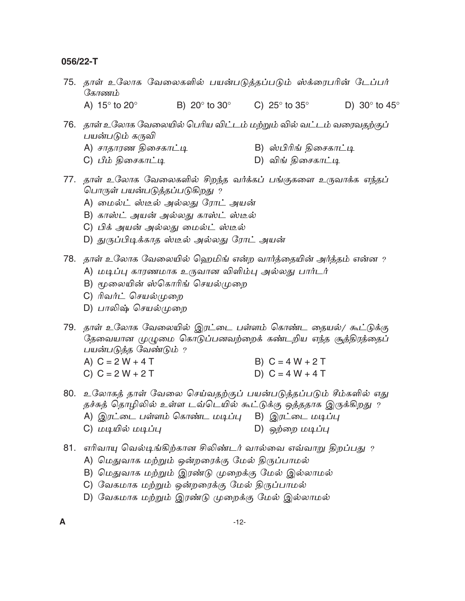- 75. தாள் உலோக வேலைகளில் பயன்படுத்தப்படும் ஸ்க்ரைபரின் டேப்பர் கோணம் C)  $25^\circ$  to  $35^\circ$ A)  $15^\circ$  to  $20^\circ$ B)  $20^\circ$  to  $30^\circ$ D) 30 $\degree$  to 45 $\degree$
- 76. தாள் உலோக வேலையில் பெரிய விட்டம் மற்றும் வில் வட்டம் வரைவதற்குப் பயன்படும் கருவி A) சாதாரண திசைகாட்டி B) ஸ்பிரிங் திசைகாட்டி
	- C) பீம் திசைகாட்டி D) விங் திசைகாட்டி
- 77. தாள் உலோக வேலைகளில் சிறந்த வர்க்கப் பங்குகளை உருவாக்க எந்தப் பொருள் பயன்படுத்தப்படுகிறது ?
	- A) மைல்ட் ஸ்டீல் அல்லது ரோட் அயன்
	- B) காஸ்ட் அயன் அல்லது காஸ்ட் ஸ்டீல்
	- C) பிக் அயன் அல்லது மைல்ட் ஸ்டீல்
	- D) துருப்பிடிக்காத ஸ்டீல் அல்லது ரோட் அயன்
- 78. தாள் உலோக வேலையில் ஹெமிங் என்ற வார்த்தையின் அர்த்தம் என்ன ?
	- A) மடிப்பு காரணமாக உருவான விளிம்பு அல்லது பார்டர்
	- B) மூலையின் ஸ்கொரிங் செயல்முறை
	- C) ரிவர்ட் செயல்முறை
	- D) பாலிஷ் செயல்முறை
- 79. தாள் உலோக வேலையில் இரட்டை பள்ளம் கொண்ட தையல்/ கூட்டுக்கு தேவையான முழுமை கொடுப்பனவற்றைக் கண்டறிய எந்த சூத்திரத்தைப் பயன்படுத்த வேண்டும் ?
	- A)  $C = 2W + 4T$ B)  $C = 4 W + 2 T$
	- $C) C = 2 W + 2 T$ D)  $C = 4W + 4T$
- 80. உலோகத் தாள் வேலை செய்வதற்குப் பயன்படுத்தப்படும் சீம்களில் எது தச்சுத் தொழிலில் உள்ள டவ்டெயில் கூட்டுக்கு ஒத்ததாக இருக்கிறது ?
	- A) இரட்டை பள்ளம் கொண்ட மடிப்பு B) இரட்டை மடிப்பு
	- C) மடியில் மடிப்பு D) ஒற்றை மடிப்பு
- 81. எரிவாயு வெல்டிங்கிற்கான சிலிண்டர் வால்வை எவ்வாறு திறப்பது ?
	- A) மெதுவாக மற்றும் ஒன்றரைக்கு மேல் திருப்பாமல்
	- B) மெதுவாக மற்றும் இரண்டு முறைக்கு மேல் இல்லாமல்
	- C) வேகமாக மற்றும் ஒன்றரைக்கு மேல் திருப்பாமல்
	- D) வேகமாக மற்றும் இரண்டு முறைக்கு மேல் இல்லாமல்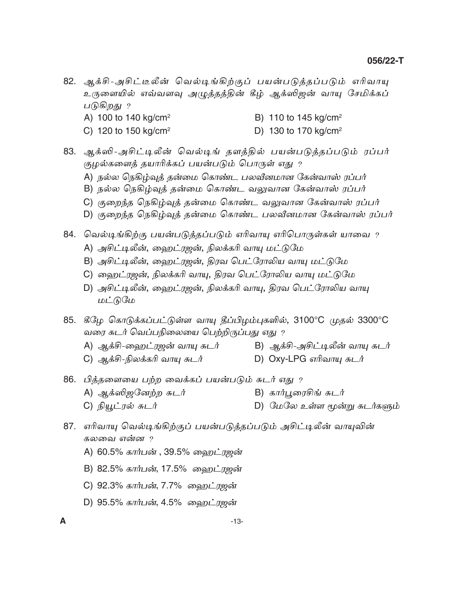- 82. ஆக்சி-அசிட்டீலீன் வெல்டிங்கிற்குப் பயன்படுத்தப்படும் எரிவாயு உருளையில் எவ்வளவு அழுத்தத்தின் கீழ் ஆக்ஸிஜன் வாயு சேமிக்கப் படுகிறது ?
	- A) 100 to 140  $kg/cm<sup>2</sup>$ B) 110 to 145 kg/cm<sup>2</sup>
	- C) 120 to 150 kg/cm<sup>2</sup> D) 130 to 170 kg/cm<sup>2</sup>
- 83. ஆக்ஸி-அசிட்டிலீன் வெல்டிங் தளத்தில் பயன்படுத்தப்படும் ரப்பர் குழல்களைத் தயாரிக்கப் பயன்படும் பொருள் எது ?
	- A) நல்ல நெகிழ்வுத் தன்மை கொண்ட பலவீனமான கேன்வாஸ் ரப்பர்
	- B) நல்ல நெகிழ்வுத் தன்மை கொண்ட வலுவான கேன்வாஸ் ரப்பர்
	- C) குறைந்த நெகிழ்வுத் தன்மை கொண்ட வலுவான கேன்வாஸ் ரப்பர்
	- D) குறைந்த நெகிழ்வுத் தன்மை கொண்ட பலவீனமான கேன்வாஸ் ரப்பர்

84. வெல்டிங்கிற்கு பயன்படுத்தப்படும் எரிவாயு எரிபொருள்கள் யாவை ?

- A) அசிட்டிலீன், ஹைட்ரஜன், நிலக்கரி வாயு மட்டுமே
- B) அசிட்டிலீன், ஹைட்ரஜன், திரவ பெட்ரோலிய வாயு மட்டுமே
- C) ஹைட்ரஜன், நிலக்கரி வாயு, திரவ பெட்ரோலிய வாயு மட்டுமே
- D) அசிட்டிலீன், ஹைட்ரஜன், நிலக்கரி வாயு, திரவ பெட்ரோலிய வாயு மட்டுமே
- 85. கீழே கொடுக்கப்பட்டுள்ள வாயு தீப்பிழம்புகளில், 3100°C முதல் 3300°C வரை சுடர் வெப்பநிலையை பெற்றிருப்பது எது ?
	- A) ஆக்சி-ஹைட்ரஜன் வாயு சுடர்
- B) ஆக்சி-அசிட்டிலீன் வாயு சுடர்
- C) ஆக்சி-நிலக்கரி வாயு சுடர்
- D) Oxy-LPG எரிவாயு சுடர்
- 86. பித்தளையை பற்ற வைக்கப் பயன்படும் சுடர் எது ?
	- A) ஆக்ஸிஜனேற்ற சுடர் B) கார்புரைசிங் சுடர்
	- C) நியூட்ரல் சுடர் D) மேலே உள்ள மூன்று சுடர்களும்
- 87. எரிவாயு வெல்டிங்கிற்குப் பயன்படுத்தப்படும் அசிட்டிலீன் வாயுவின் கலவை என்ன ?
	- A) 60.5% கார்பன் , 39.5% ஹைட்ரஜன்
	- B) 82.5% கார்பன், 17.5% ஹைட்ரஜன்
	- C) 92.3% கார்பன், 7.7% ஹைட்ரஜன்
	- D) 95.5% கார்பன், 4.5% வைறட்ரஜன்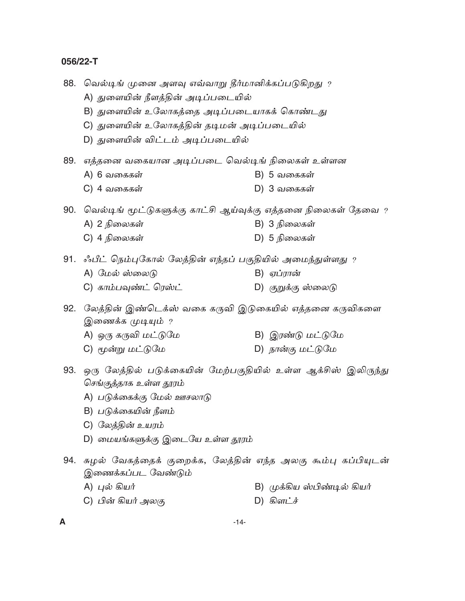| 88. | வெல்டிங் முனை அளவு எவ்வாறு தீர்மானிக்கப்படுகிறது $\,$              |  |                             |  |
|-----|--------------------------------------------------------------------|--|-----------------------------|--|
|     | A) துளையின் நீளத்தின் அடிப்படையில்                                 |  |                             |  |
|     | B) துளையின் உலோகத்தை அடிப்படையாகக் கொண்டது                         |  |                             |  |
|     | C) துளையின் உலோகத்தின் தடிமன் அடிப்படையில்                         |  |                             |  |
|     | D) துளையின் விட்டம் அடிப்படையில்                                   |  |                             |  |
|     | 89.   எத்தனை வகையான அடிப்படை வெல்டிங் நிலைகள் உள்ளன                |  |                             |  |
|     | A) 6 வகைகள்                                                        |  | B) 5 வகைகள்                 |  |
|     | C) 4 வகைகள்                                                        |  | D) 3 வகைகள்                 |  |
|     | 90.  வெல்டிங் மூட்டுகளுக்கு காட்சி ஆய்வுக்கு எத்தனை நிலைகள் தேவை ? |  |                             |  |
|     | A) 2 நிலைகள்                                                       |  | B) 3 நிலைகள்                |  |
|     | C) 4 நிலைகள்                                                       |  | D) 5 நிலைகள்                |  |
|     | 91. ஃபீட் நெம்புகோல் லேத்தின் எந்தப் பகுதியில் அமைந்துள்ளது ?      |  |                             |  |
|     | A) மேல் ஸ்லைடு                                                     |  | B) ஏப்ரான்                  |  |
|     | C) காம்பவுண்ட் ரெஸ்ட்                                              |  | D) குறுக்கு ஸ்லைடு          |  |
| 92. | லேத்தின் இண்டெக்ஸ் வகை கருவி இடுகையில் எத்தனை கருவிகளை             |  |                             |  |
|     | இணைக்க முடியும் ?                                                  |  |                             |  |
|     | A) ஒரு கருவி மட்டுமே                                               |  | B) இரண்டு மட்டுமே           |  |
|     | C) மூன்று மட்டுமே                                                  |  | D) நான்கு மட்டுமே           |  |
|     | 93. ஒரு லேத்தில் படுக்கையின் மேற்பகுதியில் உள்ள ஆக்சிஸ் இலிருந்து  |  |                             |  |
|     | செங்குத்தாக உள்ள தூரம்                                             |  |                             |  |
|     | A) படுக்கைக்கு மேல் ஊசலாடு                                         |  |                             |  |
|     | B) படுக்கையின் நீளம்                                               |  |                             |  |
|     | C) லேத்தின் உயரம்                                                  |  |                             |  |
|     | D) மையங்களுக்கு இடையே உள்ள தூரம்                                   |  |                             |  |
| 94. | சுழல் வேகத்தைக் குறைக்க, லேத்தின் எந்த அலகு கூம்பு கப்பியுடன்      |  |                             |  |
|     | இணைக்கப்பட வேண்டும்                                                |  |                             |  |
|     | A) புல் கியர்                                                      |  | B) முக்கிய ஸ்பிண்டில் கியர் |  |
|     | C) பின் கியர் அலகு                                                 |  | $D)$ கிளட்ச்                |  |
| А   | $-14-$                                                             |  |                             |  |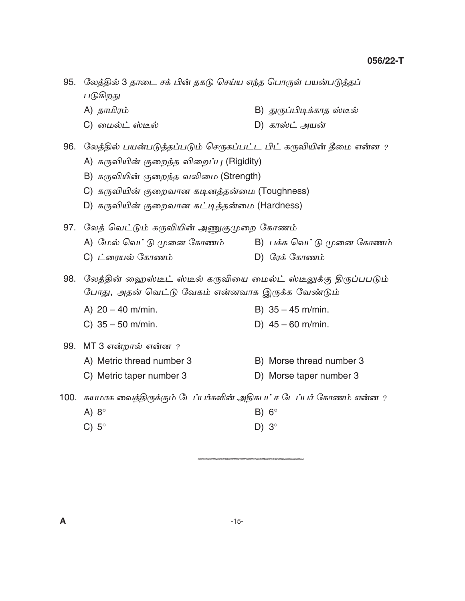95.  $\,$  லேத்தில் 3 தாடை சக் பின் தகடு செய்ய எந்த பொருள் பயன்படுத்தப் படுகிறது A) uõªµ® B) x¸¨¤iUPõu ìjÀ C) ø©Àm ìjÀ D) Põìm A¯ß  $96.$   $\,$  லேத்தில் பயன்படுத்தப்படும் செருகப்பட்ட பிட் கருவியின் தீமை என்ன  $\,$  ? A) கருவியின் குறைந்த விறைப்பு (Rigidity) B) கருவியின் குறைந்த வலிமை (Strength) C) கருவியின் குறைவான கடினத்தன்மை (Toughness) D) கருவியின் குறைவான கட்டித்தன்மை (Hardness) 97. லேத் வெட்டும் கருவியின் அணுகுமுறை கோணம் A) மேல் வெட்டு முனை கோணம் B) பக்க வெட்டு முனை கோணம் C) møµ¯À ÷Põn® D) ÷µU ÷Põn® 98. லேத்தின் ஹைஸ்டீட் ஸ்டீல் கருவியை மைல்ட் ஸ்டீலுக்கு திருப்பபடும் போது, அதன் வெட்டு வேகம் என்னவாக இருக்க வேண்டும் A)  $20 - 40$  m/min. B)  $35 - 45$  m/min. C)  $35 - 50$  m/min. D)  $45 - 60$  m/min. 99. MT 3 என்றால் என்ன ? A) Metric thread number 3 B) Morse thread number 3 C) Metric taper number 3 D) Morse taper number 3  $100$ . சுயமாக வைத்திருக்கும் டேப்பர்களின் அதிகபட்ச டேப்பர் கோணம் என்ன ? A) 8 $^{\circ}$  B) 6 $^{\circ}$ C)  $5^\circ$  D)  $3^\circ$